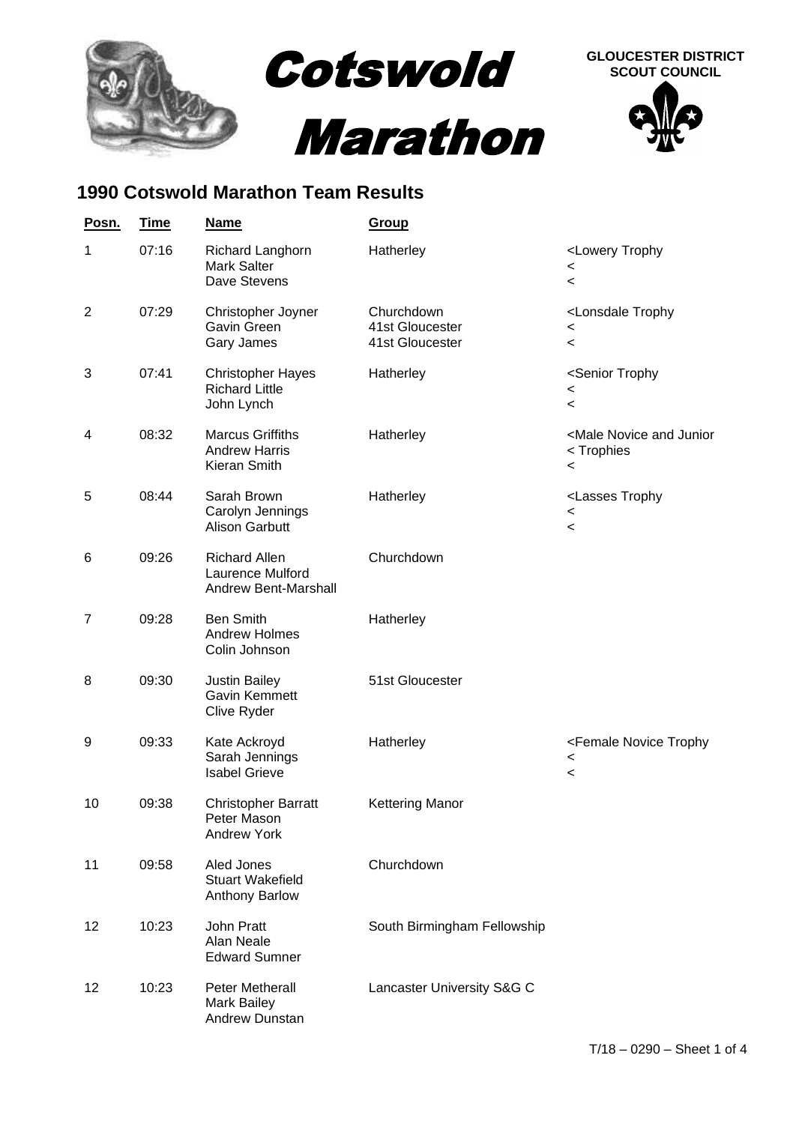

## **1990 Cotswold Marathon Team Results**

| Posn.          | <b>Time</b> | <b>Name</b>                                                      | Group                                            |                                                                                         |
|----------------|-------------|------------------------------------------------------------------|--------------------------------------------------|-----------------------------------------------------------------------------------------|
| 1              | 07:16       | Richard Langhorn<br><b>Mark Salter</b><br>Dave Stevens           | Hatherley                                        | <lowery trophy<br=""><math>\,&lt;\,</math><br/><math>\,&lt;\,</math></lowery>           |
| $\overline{2}$ | 07:29       | Christopher Joyner<br>Gavin Green<br>Gary James                  | Churchdown<br>41st Gloucester<br>41st Gloucester | <lonsdale trophy<br="">&lt;<br/><math>\overline{\phantom{0}}</math></lonsdale>          |
| 3              | 07:41       | <b>Christopher Hayes</b><br><b>Richard Little</b><br>John Lynch  | Hatherley                                        | <senior trophy<br=""><math>\,&lt;\,</math><br/><math>\prec</math></senior>              |
| 4              | 08:32       | <b>Marcus Griffiths</b><br><b>Andrew Harris</b><br>Kieran Smith  | Hatherley                                        | <male and="" junior<br="" novice="">&lt; Trophies<br/><math>\,&lt;\,</math></male>      |
| 5              | 08:44       | Sarah Brown<br>Carolyn Jennings<br><b>Alison Garbutt</b>         | Hatherley                                        | <lasses trophy<br=""><math>\,&lt;</math><br/><math>\,&lt;\,</math></lasses>             |
| 6              | 09:26       | <b>Richard Allen</b><br>Laurence Mulford<br>Andrew Bent-Marshall | Churchdown                                       |                                                                                         |
| 7              | 09:28       | <b>Ben Smith</b><br><b>Andrew Holmes</b><br>Colin Johnson        | Hatherley                                        |                                                                                         |
| 8              | 09:30       | <b>Justin Bailey</b><br>Gavin Kemmett<br>Clive Ryder             | 51st Gloucester                                  |                                                                                         |
| 9              | 09:33       | Kate Ackroyd<br>Sarah Jennings<br><b>Isabel Grieve</b>           | Hatherley                                        | <female novice="" trophy<br=""><math>\,&lt;\,</math><br/><math>\,&lt;\,</math></female> |
| 10             | 09:38       | <b>Christopher Barratt</b><br>Peter Mason<br><b>Andrew York</b>  | <b>Kettering Manor</b>                           |                                                                                         |
| 11             | 09:58       | Aled Jones<br><b>Stuart Wakefield</b><br>Anthony Barlow          | Churchdown                                       |                                                                                         |
| 12             | 10:23       | John Pratt<br>Alan Neale<br><b>Edward Sumner</b>                 | South Birmingham Fellowship                      |                                                                                         |
| 12             | 10:23       | Peter Metherall<br><b>Mark Bailey</b><br>Andrew Dunstan          | Lancaster University S&G C                       |                                                                                         |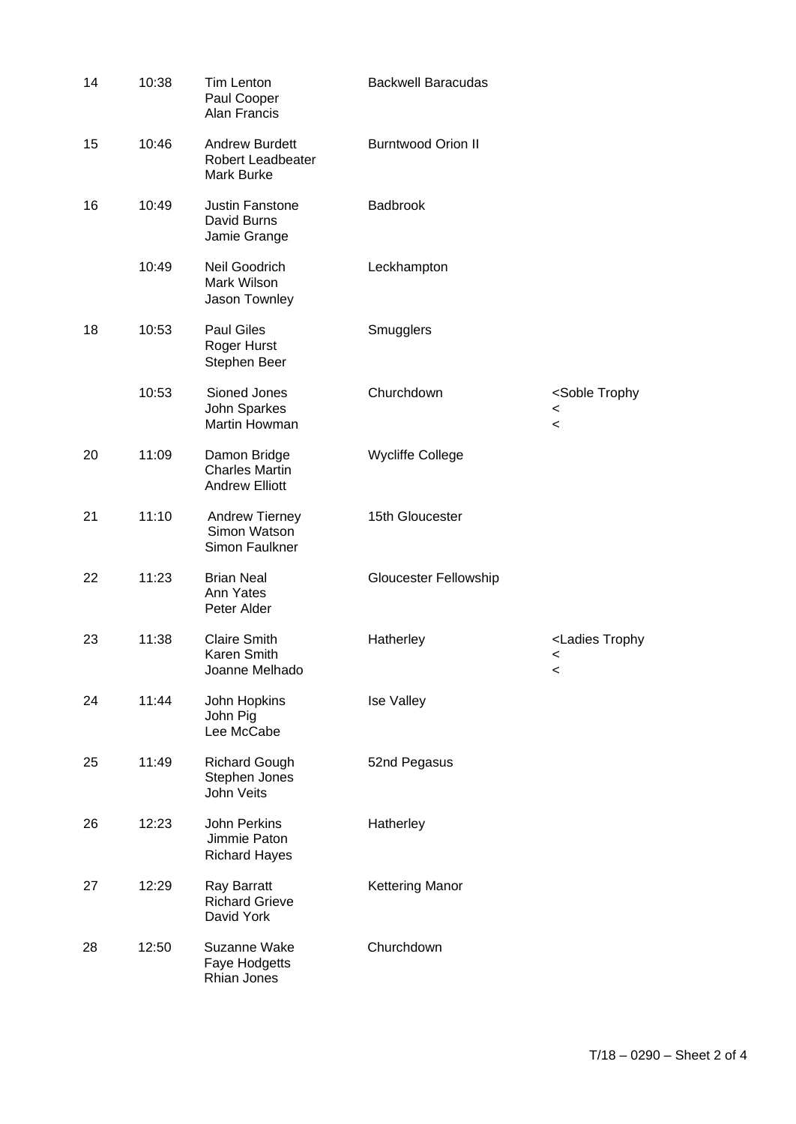| 14 | 10:38 | <b>Tim Lenton</b><br>Paul Cooper<br>Alan Francis                | <b>Backwell Baracudas</b> |                                                                               |
|----|-------|-----------------------------------------------------------------|---------------------------|-------------------------------------------------------------------------------|
| 15 | 10:46 | <b>Andrew Burdett</b><br><b>Robert Leadbeater</b><br>Mark Burke | <b>Burntwood Orion II</b> |                                                                               |
| 16 | 10:49 | Justin Fanstone<br>David Burns<br>Jamie Grange.                 | <b>Badbrook</b>           |                                                                               |
|    | 10:49 | Neil Goodrich<br>Mark Wilson<br>Jason Townley                   | Leckhampton               |                                                                               |
| 18 | 10:53 | <b>Paul Giles</b><br>Roger Hurst<br>Stephen Beer                | Smugglers                 |                                                                               |
|    | 10:53 | Sioned Jones<br>John Sparkes<br>Martin Howman                   | Churchdown                | <soble trophy<br=""><math>\,&lt;</math><br/><math>\,&lt;\,</math></soble>     |
| 20 | 11:09 | Damon Bridge<br><b>Charles Martin</b><br><b>Andrew Elliott</b>  | <b>Wycliffe College</b>   |                                                                               |
| 21 | 11:10 | Andrew Tierney<br>Simon Watson<br>Simon Faulkner                | 15th Gloucester           |                                                                               |
| 22 | 11:23 | <b>Brian Neal</b><br>Ann Yates<br>Peter Alder                   | Gloucester Fellowship     |                                                                               |
| 23 | 11:38 | <b>Claire Smith</b><br>Karen Smith<br>Joanne Melhado            | Hatherley                 | <ladies trophy<br=""><math>\,&lt;\,</math><br/><math>\,&lt;\,</math></ladies> |
| 24 | 11:44 | John Hopkins<br>John Pig<br>Lee McCabe                          | <b>Ise Valley</b>         |                                                                               |
| 25 | 11:49 | <b>Richard Gough</b><br>Stephen Jones<br>John Veits             | 52nd Pegasus              |                                                                               |
| 26 | 12:23 | John Perkins<br>Jimmie Paton<br><b>Richard Hayes</b>            | Hatherley                 |                                                                               |
| 27 | 12:29 | Ray Barratt<br><b>Richard Grieve</b><br>David York              | <b>Kettering Manor</b>    |                                                                               |
| 28 | 12:50 | Suzanne Wake<br>Faye Hodgetts<br>Rhian Jones                    | Churchdown                |                                                                               |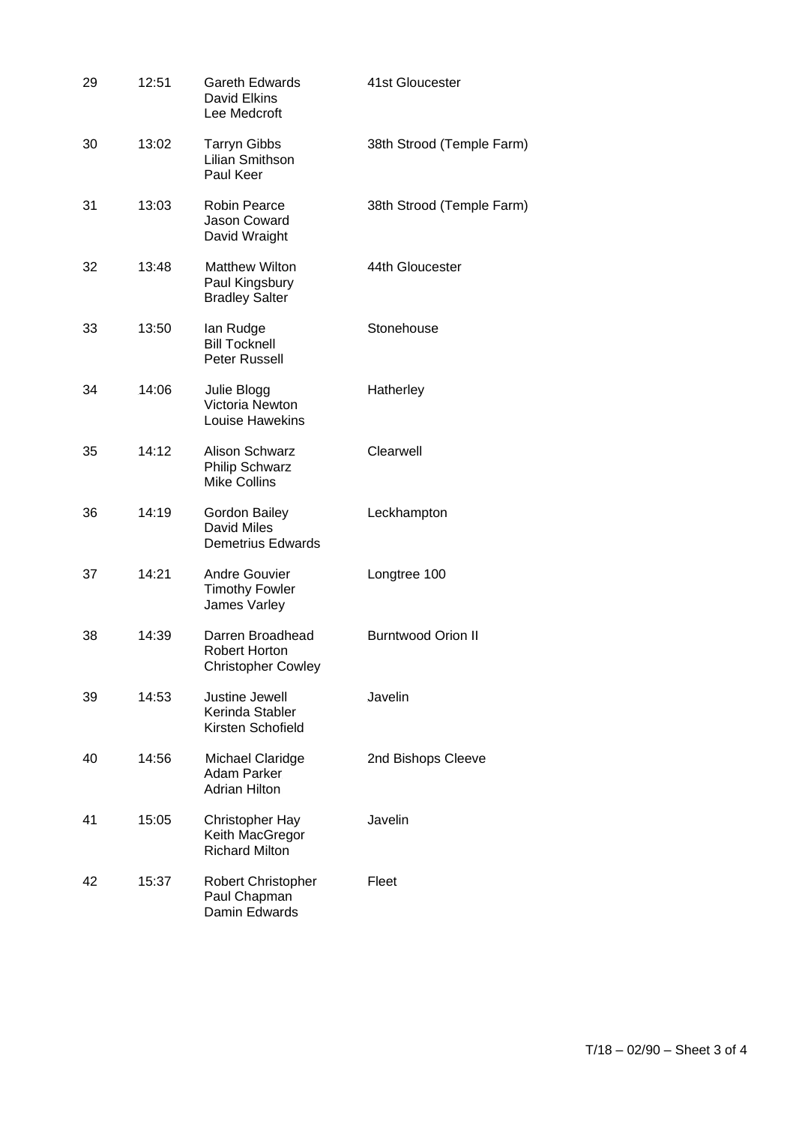| 29 | 12:51 | Gareth Edwards<br>David Elkins<br>Lee Medcroft                   | 41st Gloucester           |
|----|-------|------------------------------------------------------------------|---------------------------|
| 30 | 13:02 | <b>Tarryn Gibbs</b><br>Lilian Smithson<br>Paul Keer              | 38th Strood (Temple Farm) |
| 31 | 13:03 | <b>Robin Pearce</b><br>Jason Coward<br>David Wraight             | 38th Strood (Temple Farm) |
| 32 | 13:48 | <b>Matthew Wilton</b><br>Paul Kingsbury<br><b>Bradley Salter</b> | 44th Gloucester           |
| 33 | 13:50 | lan Rudge<br><b>Bill Tocknell</b><br>Peter Russell               | Stonehouse                |
| 34 | 14:06 | Julie Blogg<br>Victoria Newton<br>Louise Hawekins                | Hatherley                 |
| 35 | 14:12 | Alison Schwarz<br><b>Philip Schwarz</b><br><b>Mike Collins</b>   | Clearwell                 |
| 36 | 14:19 | Gordon Bailey<br>David Miles<br><b>Demetrius Edwards</b>         | Leckhampton               |
| 37 | 14:21 | <b>Andre Gouvier</b><br><b>Timothy Fowler</b><br>James Varley    | Longtree 100              |
| 38 | 14:39 | Darren Broadhead<br>Robert Horton<br><b>Christopher Cowley</b>   | <b>Burntwood Orion II</b> |
| 39 | 14:53 | Justine Jewell<br>Kerinda Stabler<br>Kirsten Schofield           | Javelin                   |
| 40 | 14:56 | Michael Claridge<br>Adam Parker<br><b>Adrian Hilton</b>          | 2nd Bishops Cleeve        |
| 41 | 15:05 | Christopher Hay<br>Keith MacGregor<br><b>Richard Milton</b>      | Javelin                   |
| 42 | 15:37 | Robert Christopher<br>Paul Chapman<br>Damin Edwards              | Fleet                     |